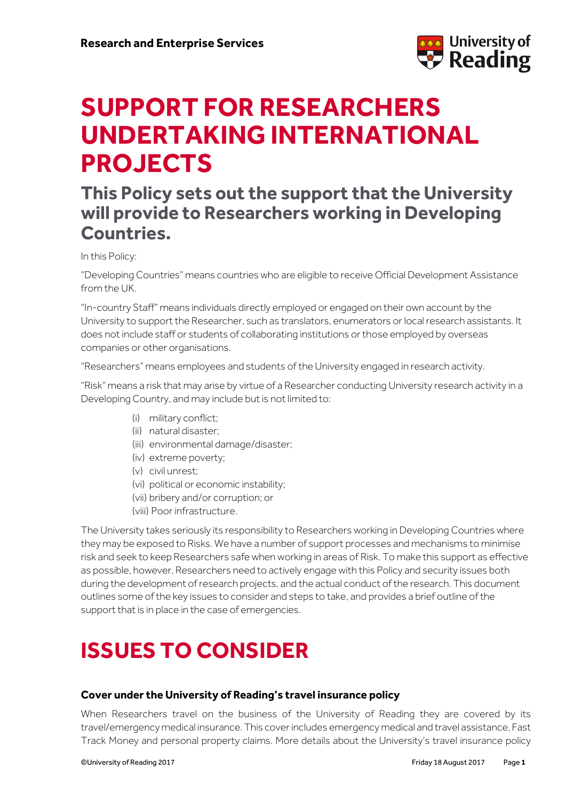

# **SUPPORT FOR RESEARCHERS UNDERTAKING INTERNATIONAL PROJECTS**

### **This Policy sets out the support that the University will provide to Researchers working in Developing Countries.**

In this Policy:

"Developing Countries" means countries who are eligible to receive Official Development Assistance from the UK.

"In-country Staff" means individuals directly employed or engaged on their own account by the University to support the Researcher, such as translators, enumerators or local research assistants. It does not include staff or students of collaborating institutions or those employed by overseas companies or other organisations.

"Researchers" means employees and students of the University engaged in research activity.

"Risk" means a risk that may arise by virtue of a Researcher conducting University research activity in a Developing Country, and may include but is not limited to:

- (i) military conflict;
- (ii) natural disaster;
- (iii) environmental damage/disaster;
- (iv) extreme poverty;
- (v) civil unrest;
- (vi) political or economic instability;
- (vii) bribery and/or corruption; or
- (viii) Poor infrastructure.

The University takes seriously its responsibility to Researchers working in Developing Countries where they may be exposed to Risks. We have a number of support processes and mechanisms to minimise risk and seek to keep Researchers safe when working in areas of Risk. To make this support as effective as possible, however, Researchers need to actively engage with this Policy and security issues both during the development of research projects, and the actual conduct of the research. This document outlines some of the key issues to consider and steps to take, and provides a brief outline of the support that is in place in the case of emergencies.

## **ISSUES TO CONSIDER**

#### **Cover under the University of Reading's travel insurance policy**

When Researchers travel on the business of the University of Reading they are covered by its travel/emergency medical insurance.This coverincludes emergency medical and travel assistance, Fast Track Money and personal property claims. More details about the University's travel insurance policy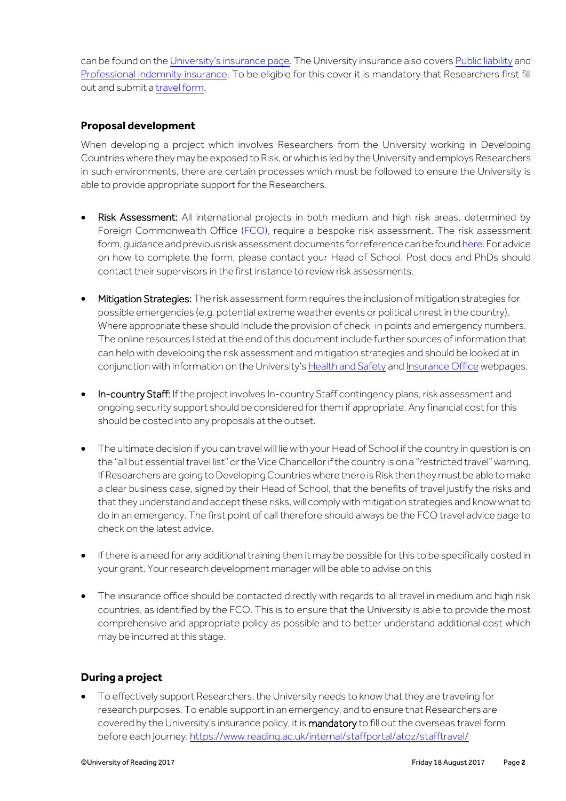can be found on the [University'](https://www.reading.ac.uk/internal/finance/Insurance/fcs-ins-business.aspx)s insurance page. The University insurance also covers Public [liability](https://www.reading.ac.uk/internal/finance/Insurance/fcs-ins-public.aspx) and [Professional](https://www.reading.ac.uk/internal/finance/Insurance/fcs-ins-professional.aspx) indemnity insurance. To be eligible for this cover it is mandatory that Researchers first fill out and submit a [travel](https://www.reading.ac.uk/internal/staffportal/atoz/stafftravel/account/logon?ReturnUrl=%252f) form.

#### **Proposal development**

When developing a project which involves Researchers from the University working in Developing Countries where they may be exposed to Risk, or which is led by the University and employs Researchers in such environments, there are certain processes which must be followed to ensure the University is able to provide appropriate support for the Researchers.

- Risk Assessment: All international projects in both medium and high risk areas, determined by Foreign Commonwealth Office [\(FCO\)](https://www.gov.uk/foreign-travel-advice), require a bespoke risk assessment. The risk assessment form, guidance and previous risk assessment documents for reference can be foun[d here.](https://www.reading.ac.uk/internal/health-and-safety/resources/hs-resources-sampleriskassessments.aspx.) For advice on how to complete the form, please contact your Head of School. Post docs and PhDs should contact their supervisors in the first instance to review risk assessments.
- Mitigation Strategies: The risk assessment form requires the inclusion of mitigation strategies for possible emergencies (e.g. potential extreme weather events or political unrest in the country). Where appropriate these should include the provision of check-in points and emergency numbers. The online resources listed at the end of this document include further sources of information that can help with developing the risk assessment and mitigation strategies and should be looked at in conjunction with information on the University's [Health and Safety](http://www.reading.ac.uk/internal/health-and-safety/hs-home-2.aspx) an[d Insurance Office](http://www.reading.ac.uk/internal/finance/Insurance/fcs-ins-travellingsafely.aspx) webpages.
- In-country Staff: If the project involves In-country Staff contingency plans, risk assessment and ongoing security support should be considered for them if appropriate. Any financial cost for this should be costed into any proposals at the outset.
- The ultimate decision if you can travel will lie with your Head of School if the country in question is on the "all but essential travel list" or the Vice Chancellor if the country is on a "restricted travel" warning. If Researchers are going to Developing Countries where there is Risk then they must be able to make a clear business case, signed by their Head of School, that the benefits of travel justify the risks and that they understand and accept these risks, will comply with mitigation strategies and know what to do in an emergency. The first point of call therefore should always be the FCO travel advice page to check on the latest advice.
- If there is a need for any additional training then it may be possible for this to be specifically costed in your grant. Your research development manager will be able to advise on this
- The insurance office should be contacted directly with regards to all travel in medium and high risk countries, as identified by the FCO. This is to ensure that the University is able to provide the most comprehensive and appropriate policy as possible and to better understand additional cost which may be incurred at this stage.

#### **During a project**

 To effectively support Researchers, the University needs to know that they are traveling for research purposes. To enable support in an emergency, and to ensure that Researchers are covered by the University's insurance policy, it is mandatory to fill out the overseas travel form before each journey[: https://www.reading.ac.uk/internal/staffportal/atoz/stafftravel/](https://www.reading.ac.uk/internal/staffportal/atoz/stafftravel/)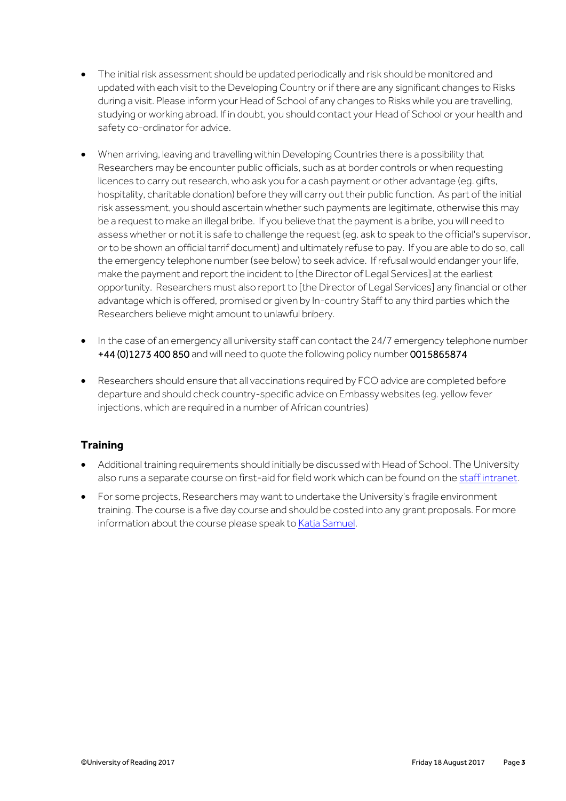- The initial risk assessment should be updated periodically and risk should be monitored and updated with each visit to the Developing Country or if there are any significant changes to Risks during a visit. Please inform your Head of School of any changes to Risks while you are travelling, studying or working abroad. If in doubt, you should contact your Head of School or your health and safety co-ordinator for advice.
- When arriving, leaving and travelling within Developing Countries there is a possibility that Researchers may be encounter public officials, such as at border controls or when requesting licences to carry out research, who ask you for a cash payment or other advantage (eg. gifts, hospitality, charitable donation) before they will carry out their public function. As part of the initial risk assessment, you should ascertain whether such payments are legitimate, otherwise this may be a request to make an illegal bribe. If you believe that the payment is a bribe, you will need to assess whether or not it is safe to challenge the request (eg. ask to speak to the official's supervisor, or to be shown an official tarrif document) and ultimately refuse to pay. If you are able to do so, call the emergency telephone number (see below) to seek advice. If refusal would endanger your life, make the payment and report the incident to [the Director of Legal Services] at the earliest opportunity. Researchers must also report to [the Director of Legal Services] any financial or other advantage which is offered, promised or given by In-country Staff to any third parties which the Researchers believe might amount to unlawful bribery.
- In the case of an emergency all university staff can contact the 24/7 emergency telephone number +44 (0)1273 400 850 and will need to quote the following policy number 0015865874
- Researchers should ensure that all vaccinations required by FCO advice are completed before departure and should check country-specific advice on Embassy websites (eg. yellow fever injections, which are required in a number of African countries)

#### **Training**

- Additional training requirements should initially be discussed with Head of School. The University also runs a separate course on first-aid for field work which can be found on the staff [intranet.](http://www.cms.rdg.ac.uk/internal/health-and-safety/hs-training/TrainingCourseDetails/FirstAidTraining.aspx)
- For some projects, Researchers may want to undertake the University's fragile environment training. The course is a five day course and should be costed into any grant proposals. For more information about the course please speak to Katja [Samuel.](mailto:k.l.samuel@reading.ac.uk)